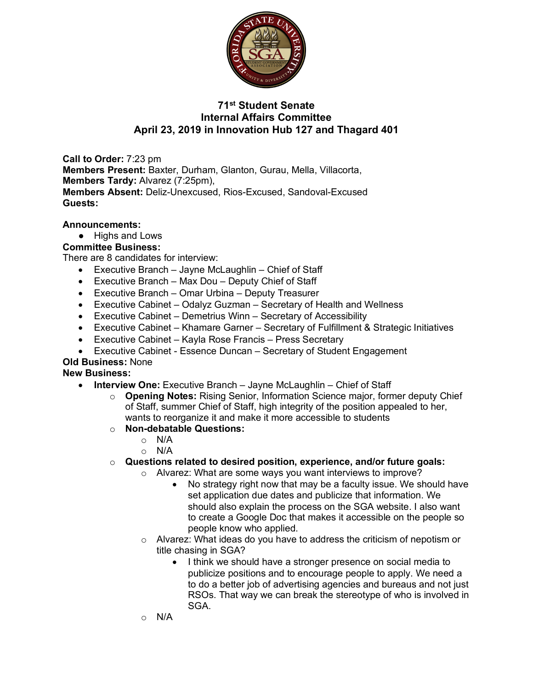

## **71st Student Senate Internal Affairs Committee April 23, 2019 in Innovation Hub 127 and Thagard 401**

**Call to Order:** 7:23 pm **Members Present:** Baxter, Durham, Glanton, Gurau, Mella, Villacorta, **Members Tardy:** Alvarez (7:25pm), **Members Absent:** Deliz-Unexcused, Rios-Excused, Sandoval-Excused **Guests:** 

### **Announcements:**

● Highs and Lows

## **Committee Business:**

There are 8 candidates for interview:

- Executive Branch Jayne McLaughlin Chief of Staff
- Executive Branch Max Dou Deputy Chief of Staff
- Executive Branch Omar Urbina Deputy Treasurer
- Executive Cabinet Odalyz Guzman Secretary of Health and Wellness
- Executive Cabinet Demetrius Winn Secretary of Accessibility
- Executive Cabinet Khamare Garner Secretary of Fulfillment & Strategic Initiatives
- Executive Cabinet Kayla Rose Francis Press Secretary
- Executive Cabinet Essence Duncan Secretary of Student Engagement

### **Old Business:** None

### **New Business:**

- **Interview One:** Executive Branch Jayne McLaughlin Chief of Staff
	- o **Opening Notes:** Rising Senior, Information Science major, former deputy Chief of Staff, summer Chief of Staff, high integrity of the position appealed to her, wants to reorganize it and make it more accessible to students
	- o **Non-debatable Questions:**
		- o N/A
		- o N/A
	- o **Questions related to desired position, experience, and/or future goals:**
		- o Alvarez: What are some ways you want interviews to improve?
			- No strategy right now that may be a faculty issue. We should have set application due dates and publicize that information. We should also explain the process on the SGA website. I also want to create a Google Doc that makes it accessible on the people so people know who applied.
			- o Alvarez: What ideas do you have to address the criticism of nepotism or title chasing in SGA?
				- I think we should have a stronger presence on social media to publicize positions and to encourage people to apply. We need a to do a better job of advertising agencies and bureaus and not just RSOs. That way we can break the stereotype of who is involved in SGA.
			- o N/A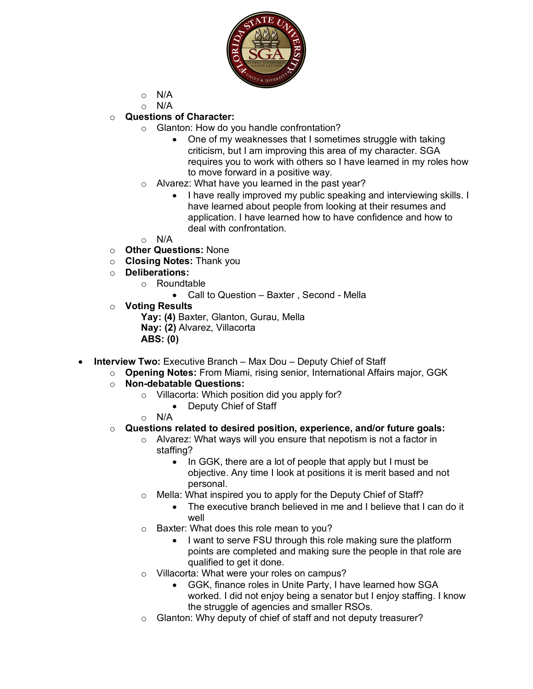

- $\circ$  N/A
- o N/A
- o **Questions of Character:**
	- o Glanton: How do you handle confrontation?
		- One of my weaknesses that I sometimes struggle with taking criticism, but I am improving this area of my character. SGA requires you to work with others so I have learned in my roles how to move forward in a positive way.
	- o Alvarez: What have you learned in the past year?
		- I have really improved my public speaking and interviewing skills. I have learned about people from looking at their resumes and application. I have learned how to have confidence and how to deal with confrontation.
	- $\circ$  N/A
- o **Other Questions:** None
- o **Closing Notes:** Thank you
- o **Deliberations:**
	- o Roundtable
		- Call to Question Baxter , Second Mella
- o **Voting Results**

**Yay: (4)** Baxter, Glanton, Gurau, Mella **Nay: (2)** Alvarez, Villacorta **ABS: (0)**

- **Interview Two:** Executive Branch Max Dou Deputy Chief of Staff
	- o **Opening Notes:** From Miami, rising senior, International Affairs major, GGK
	- o **Non-debatable Questions:**
		- o Villacorta: Which position did you apply for?
			- Deputy Chief of Staff
		- o N/A

#### o **Questions related to desired position, experience, and/or future goals:**

- o Alvarez: What ways will you ensure that nepotism is not a factor in staffing?
	- In GGK, there are a lot of people that apply but I must be objective. Any time I look at positions it is merit based and not personal.
- o Mella: What inspired you to apply for the Deputy Chief of Staff?
	- The executive branch believed in me and I believe that I can do it well
- o Baxter: What does this role mean to you?
	- I want to serve FSU through this role making sure the platform points are completed and making sure the people in that role are qualified to get it done.
- o Villacorta: What were your roles on campus?
	- GGK, finance roles in Unite Party, I have learned how SGA worked. I did not enjoy being a senator but I enjoy staffing. I know the struggle of agencies and smaller RSOs.
- o Glanton: Why deputy of chief of staff and not deputy treasurer?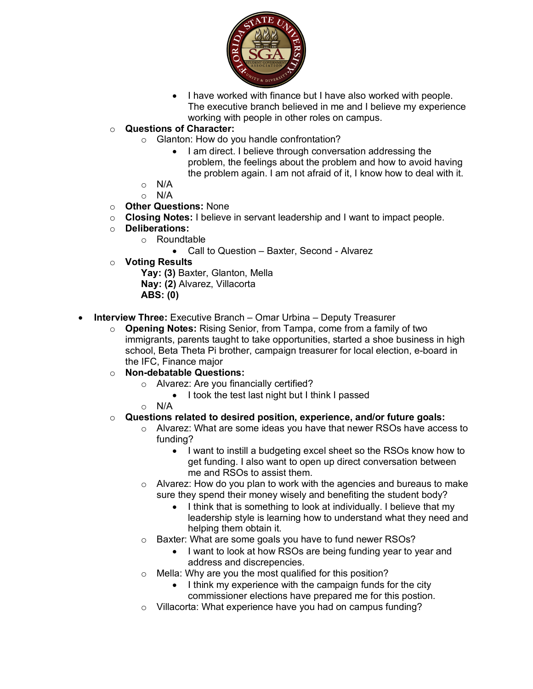

- I have worked with finance but I have also worked with people. The executive branch believed in me and I believe my experience working with people in other roles on campus.
- o **Questions of Character:**
	- o Glanton: How do you handle confrontation?
		- I am direct. I believe through conversation addressing the problem, the feelings about the problem and how to avoid having the problem again. I am not afraid of it, I know how to deal with it.
	- $\circ$  N/A
	- o N/A
- o **Other Questions:** None
- o **Closing Notes:** I believe in servant leadership and I want to impact people.
- o **Deliberations:**
	- o Roundtable
		- Call to Question Baxter, Second Alvarez
- o **Voting Results**

**Yay: (3)** Baxter, Glanton, Mella **Nay: (2)** Alvarez, Villacorta **ABS: (0)** 

- **Interview Three:** Executive Branch Omar Urbina Deputy Treasurer
	- o **Opening Notes:** Rising Senior, from Tampa, come from a family of two immigrants, parents taught to take opportunities, started a shoe business in high school, Beta Theta Pi brother, campaign treasurer for local election, e-board in the IFC, Finance major
	- o **Non-debatable Questions:**
		- o Alvarez: Are you financially certified?
			- I took the test last night but I think I passed
		- $\circ$  N/A
	- o **Questions related to desired position, experience, and/or future goals:**
		- o Alvarez: What are some ideas you have that newer RSOs have access to funding?
			- I want to instill a budgeting excel sheet so the RSOs know how to get funding. I also want to open up direct conversation between me and RSOs to assist them.
		- $\circ$  Alvarez: How do you plan to work with the agencies and bureaus to make sure they spend their money wisely and benefiting the student body?
			- I think that is something to look at individually. I believe that my leadership style is learning how to understand what they need and helping them obtain it.
		- o Baxter: What are some goals you have to fund newer RSOs?
			- I want to look at how RSOs are being funding year to year and address and discrepencies.
		- o Mella: Why are you the most qualified for this position?
			- I think my experience with the campaign funds for the city commissioner elections have prepared me for this postion.
		- o Villacorta: What experience have you had on campus funding?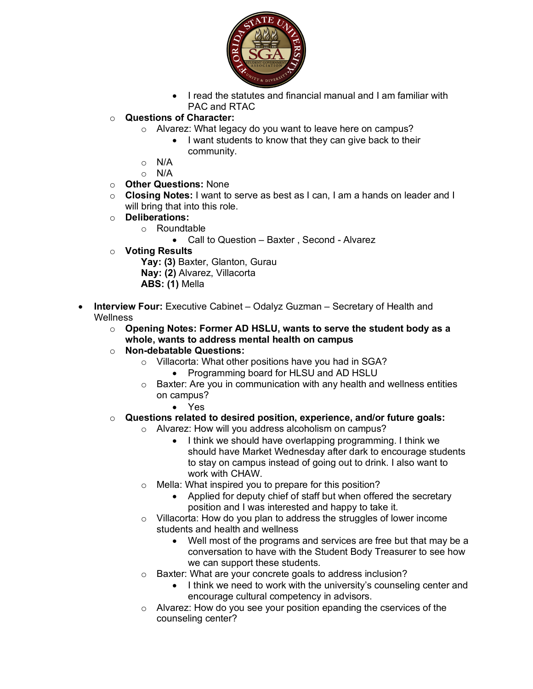

• I read the statutes and financial manual and I am familiar with PAC and RTAC

# o **Questions of Character:**

- o Alvarez: What legacy do you want to leave here on campus?
	- I want students to know that they can give back to their community.
- o N/A
- o N/A

## o **Other Questions:** None

- o **Closing Notes:** I want to serve as best as I can, I am a hands on leader and I will bring that into this role.
- o **Deliberations:**
	- o Roundtable
		- Call to Question Baxter , Second Alvarez
- o **Voting Results**

Yay: (3) Baxter, Glanton, Gurau **Nay: (2)** Alvarez, Villacorta **ABS: (1)** Mella

- **Interview Four:** Executive Cabinet Odalyz Guzman Secretary of Health and **Wellness** 
	- o **Opening Notes: Former AD HSLU, wants to serve the student body as a whole, wants to address mental health on campus**
	- o **Non-debatable Questions:**
		- o Villacorta: What other positions have you had in SGA?
			- Programming board for HLSU and AD HSLU
		- o Baxter: Are you in communication with any health and wellness entities on campus?
			- Yes
	- o **Questions related to desired position, experience, and/or future goals:**
		- o Alvarez: How will you address alcoholism on campus?
			- I think we should have overlapping programming. I think we should have Market Wednesday after dark to encourage students to stay on campus instead of going out to drink. I also want to work with CHAW.
			- o Mella: What inspired you to prepare for this position?
				- Applied for deputy chief of staff but when offered the secretary position and I was interested and happy to take it.
			- o Villacorta: How do you plan to address the struggles of lower income students and health and wellness
				- Well most of the programs and services are free but that may be a conversation to have with the Student Body Treasurer to see how we can support these students.
			- o Baxter: What are your concrete goals to address inclusion?
				- I think we need to work with the university's counseling center and encourage cultural competency in advisors.
			- o Alvarez: How do you see your position epanding the cservices of the counseling center?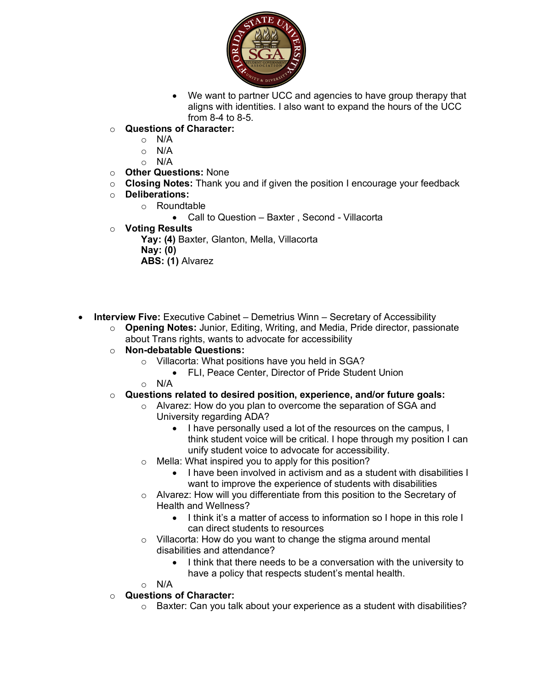

- We want to partner UCC and agencies to have group therapy that aligns with identities. I also want to expand the hours of the UCC from  $8-4$  to  $8-5$ .
- o **Questions of Character:**
	- o N/A
	- o N/A
	- $\circ$  N/A
- o **Other Questions:** None
- o **Closing Notes:** Thank you and if given the position I encourage your feedback
- o **Deliberations:**
	- o Roundtable
		- Call to Question Baxter , Second Villacorta
- o **Voting Results**

**Yay: (4)** Baxter, Glanton, Mella, Villacorta **Nay: (0) ABS: (1)** Alvarez

• **Interview Five:** Executive Cabinet – Demetrius Winn – Secretary of Accessibility

- o **Opening Notes:** Junior, Editing, Writing, and Media, Pride director, passionate about Trans rights, wants to advocate for accessibility
- o **Non-debatable Questions:**
	- o Villacorta: What positions have you held in SGA?
		- FLI, Peace Center, Director of Pride Student Union
	- $\circ$  N/A
- o **Questions related to desired position, experience, and/or future goals:**
	- o Alvarez: How do you plan to overcome the separation of SGA and University regarding ADA?
		- I have personally used a lot of the resources on the campus, I think student voice will be critical. I hope through my position I can unify student voice to advocate for accessibility.
	- o Mella: What inspired you to apply for this position?
		- I have been involved in activism and as a student with disabilities I want to improve the experience of students with disabilities
	- o Alvarez: How will you differentiate from this position to the Secretary of Health and Wellness?
		- I think it's a matter of access to information so I hope in this role I can direct students to resources
	- o Villacorta: How do you want to change the stigma around mental disabilities and attendance?
		- I think that there needs to be a conversation with the university to have a policy that respects student's mental health.

 $\circ$  N/A

- o **Questions of Character:**
	- $\circ$  Baxter: Can you talk about your experience as a student with disabilities?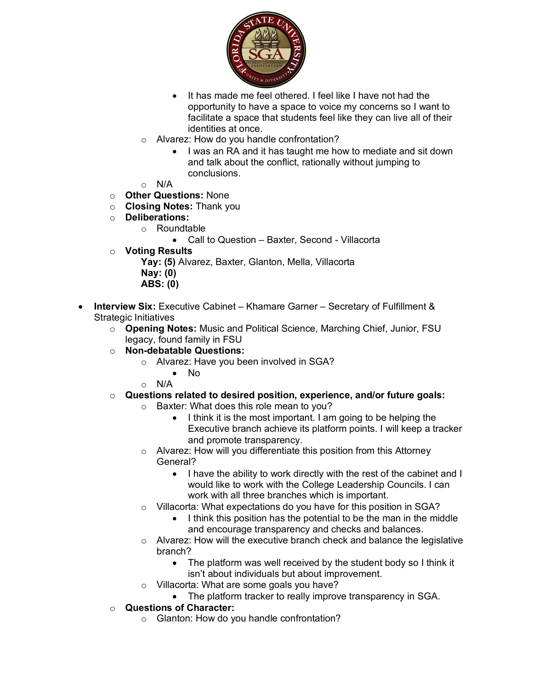

- It has made me feel othered. I feel like I have not had the opportunity to have a space to voice my concerns so I want to facilitate a space that students feel like they can live all of their identities at once.
- Alvarez: How do you handle confrontation?
	- I was an RA and it has taught me how to mediate and sit down and talk about the conflict, rationally without jumping to conclusions.
- $\circ$  N/A
- o **Other Questions:** None
- o **Closing Notes:** Thank you
- o **Deliberations:**
	- o Roundtable
		- Call to Question Baxter, Second Villacorta
- o **Voting Results**

**Yay: (5)** Alvarez, Baxter, Glanton, Mella, Villacorta **Nay: (0)** 

- **ABS: (0)**
- **Interview Six:** Executive Cabinet Khamare Garner Secretary of Fulfillment & Strategic Initiatives
	- o **Opening Notes:** Music and Political Science, Marching Chief, Junior, FSU legacy, found family in FSU
	- o **Non-debatable Questions:**
		- o Alvarez: Have you been involved in SGA?
			- No
		- $\circ$  N/A
	- o **Questions related to desired position, experience, and/or future goals:**
		- o Baxter: What does this role mean to you?
			- I think it is the most important. I am going to be helping the Executive branch achieve its platform points. I will keep a tracker and promote transparency.
		- o Alvarez: How will you differentiate this position from this Attorney General?
			- I have the ability to work directly with the rest of the cabinet and I would like to work with the College Leadership Councils. I can work with all three branches which is important.
		- o Villacorta: What expectations do you have for this position in SGA?
			- I think this position has the potential to be the man in the middle and encourage transparency and checks and balances.
		- o Alvarez: How will the executive branch check and balance the legislative branch?
			- The platform was well received by the student body so I think it isn't about individuals but about improvement.
		- o Villacorta: What are some goals you have?
			- The platform tracker to really improve transparency in SGA.
	- o **Questions of Character:**
		- o Glanton: How do you handle confrontation?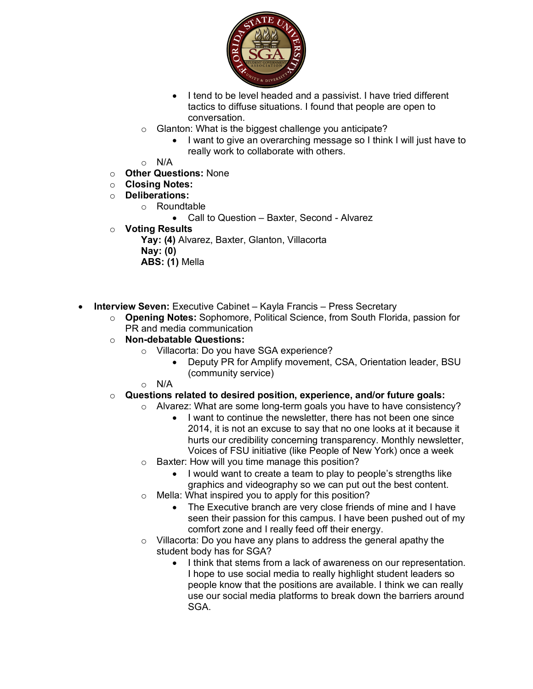

- I tend to be level headed and a passivist. I have tried different tactics to diffuse situations. I found that people are open to conversation.
- o Glanton: What is the biggest challenge you anticipate?
	- I want to give an overarching message so I think I will just have to really work to collaborate with others.
- o N/A
- o **Other Questions:** None
- o **Closing Notes:**
- o **Deliberations:**
	- o Roundtable
		- Call to Question Baxter, Second Alvarez
- o **Voting Results**
	- Yay: (4) Alvarez, Baxter, Glanton, Villacorta **Nay: (0) ABS: (1)** Mella
- **Interview Seven:** Executive Cabinet Kayla Francis Press Secretary
	- o **Opening Notes:** Sophomore, Political Science, from South Florida, passion for PR and media communication
	- o **Non-debatable Questions:**
		- o Villacorta: Do you have SGA experience?
			- Deputy PR for Amplify movement, CSA, Orientation leader, BSU (community service)
		- $\circ$  N/A
	- o **Questions related to desired position, experience, and/or future goals:**
		- o Alvarez: What are some long-term goals you have to have consistency?
			- I want to continue the newsletter, there has not been one since 2014, it is not an excuse to say that no one looks at it because it hurts our credibility concerning transparency. Monthly newsletter, Voices of FSU initiative (like People of New York) once a week
		- o Baxter: How will you time manage this position?
			- I would want to create a team to play to people's strengths like graphics and videography so we can put out the best content.
		- o Mella: What inspired you to apply for this position?
			- The Executive branch are very close friends of mine and I have seen their passion for this campus. I have been pushed out of my comfort zone and I really feed off their energy.
		- o Villacorta: Do you have any plans to address the general apathy the student body has for SGA?
			- I think that stems from a lack of awareness on our representation. I hope to use social media to really highlight student leaders so people know that the positions are available. I think we can really use our social media platforms to break down the barriers around SGA.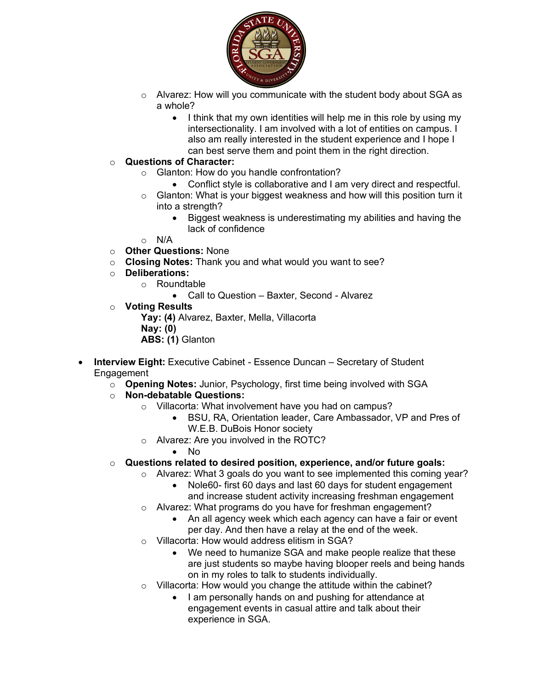

- o Alvarez: How will you communicate with the student body about SGA as a whole?
	- I think that my own identities will help me in this role by using my intersectionality. I am involved with a lot of entities on campus. I also am really interested in the student experience and I hope I can best serve them and point them in the right direction.

### o **Questions of Character:**

- o Glanton: How do you handle confrontation?
	- Conflict style is collaborative and I am very direct and respectful.
- o Glanton: What is your biggest weakness and how will this position turn it into a strength?
	- Biggest weakness is underestimating my abilities and having the lack of confidence
- $\circ$  N/A
- o **Other Questions:** None
- o **Closing Notes:** Thank you and what would you want to see?
- o **Deliberations:**
	- o Roundtable
		- Call to Question Baxter, Second Alvarez
- o **Voting Results**

**Yay: (4)** Alvarez, Baxter, Mella, Villacorta **Nay: (0) ABS: (1)** Glanton

- **Interview Eight:** Executive Cabinet Essence Duncan Secretary of Student Engagement
	- o **Opening Notes:** Junior, Psychology, first time being involved with SGA
	- o **Non-debatable Questions:**
		- o Villacorta: What involvement have you had on campus?
			- BSU, RA, Orientation leader, Care Ambassador, VP and Pres of W.E.B. DuBois Honor society
		- o Alvarez: Are you involved in the ROTC?
			- No
	- o **Questions related to desired position, experience, and/or future goals:**
		- o Alvarez: What 3 goals do you want to see implemented this coming year?
			- Nole60- first 60 days and last 60 days for student engagement and increase student activity increasing freshman engagement
			- o Alvarez: What programs do you have for freshman engagement?
				- An all agency week which each agency can have a fair or event per day. And then have a relay at the end of the week.
			- o Villacorta: How would address elitism in SGA?
				- We need to humanize SGA and make people realize that these are just students so maybe having blooper reels and being hands on in my roles to talk to students individually.
			- o Villacorta: How would you change the attitude within the cabinet?
				- I am personally hands on and pushing for attendance at engagement events in casual attire and talk about their experience in SGA.